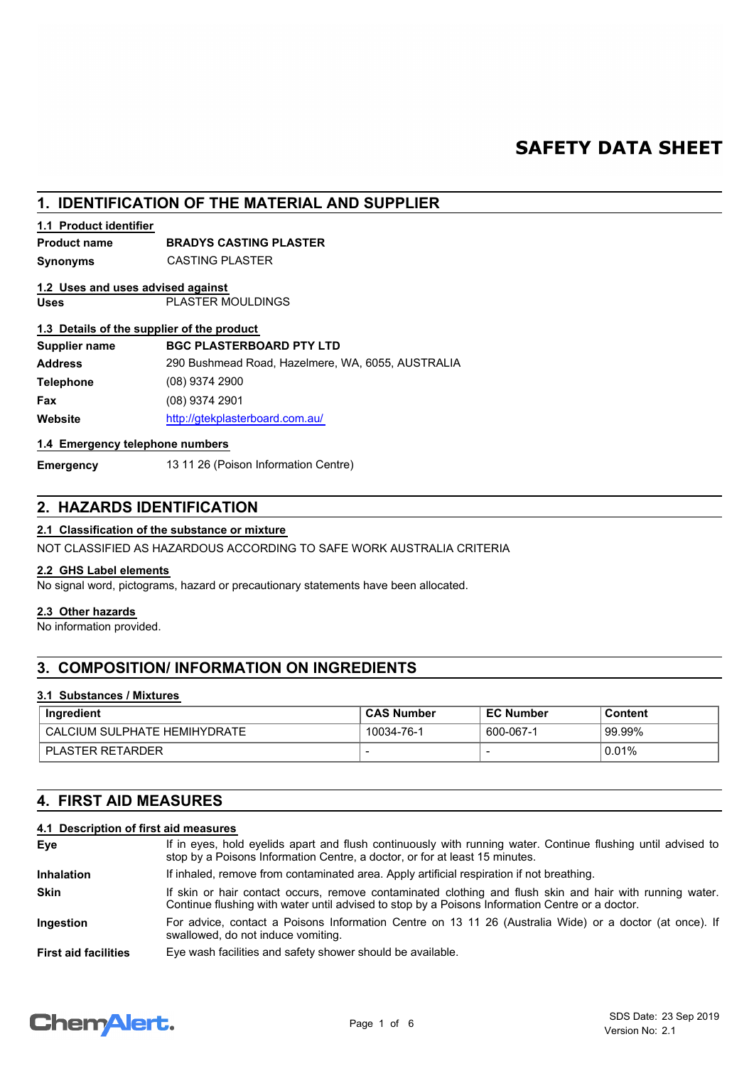# **SAFETY DATA SHEET**

# **1. IDENTIFICATION OF THE MATERIAL AND SUPPLIER**

# **1.1 Product identifier**

# **Product name BRADYS CASTING PLASTER**

**Synonyms** CASTING PLASTER

# **1.2 Uses and uses advised against**

**Uses** PLASTER MOULDINGS

## **1.3 Details of the supplier of the product**

| <b>BGC PLASTERBOARD PTY LTD</b>                   |
|---------------------------------------------------|
| 290 Bushmead Road, Hazelmere, WA, 6055, AUSTRALIA |
| $(08)$ 9374 2900                                  |
| $(08)$ 9374 2901                                  |
| http://gtekplasterboard.com.au/                   |
|                                                   |

## **1.4 Emergency telephone numbers**

**Emergency** 13 11 26 (Poison Information Centre)

# **2. HAZARDS IDENTIFICATION**

## **2.1 Classification of the substance or mixture**

NOT CLASSIFIED AS HAZARDOUS ACCORDING TO SAFE WORK AUSTRALIA CRITERIA

## **2.2 GHS Label elements**

No signal word, pictograms, hazard or precautionary statements have been allocated.

# **2.3 Other hazards**

No information provided.

# **3. COMPOSITION/ INFORMATION ON INGREDIENTS**

## **3.1 Substances / Mixtures**

| Ingredient                   | <b>CAS Number</b> | <b>EC Number</b> | Content |
|------------------------------|-------------------|------------------|---------|
| CALCIUM SULPHATE HEMIHYDRATE | 10034-76-1        | 600-067-1        | 99.99%  |
| <b>PLASTER RETARDER</b>      |                   |                  | 0.01%   |

# **4. FIRST AID MEASURES**

# **4.1 Description of first aid measures**

| Eye                         | If in eyes, hold eyelids apart and flush continuously with running water. Continue flushing until advised to<br>stop by a Poisons Information Centre, a doctor, or for at least 15 minutes.                 |
|-----------------------------|-------------------------------------------------------------------------------------------------------------------------------------------------------------------------------------------------------------|
| <b>Inhalation</b>           | If inhaled, remove from contaminated area. Apply artificial respiration if not breathing.                                                                                                                   |
| <b>Skin</b>                 | If skin or hair contact occurs, remove contaminated clothing and flush skin and hair with running water.<br>Continue flushing with water until advised to stop by a Poisons Information Centre or a doctor. |
| Ingestion                   | For advice, contact a Poisons Information Centre on 13 11 26 (Australia Wide) or a doctor (at once). If<br>swallowed, do not induce vomiting.                                                               |
| <b>First aid facilities</b> | Eye wash facilities and safety shower should be available.                                                                                                                                                  |

# **Chemalert.**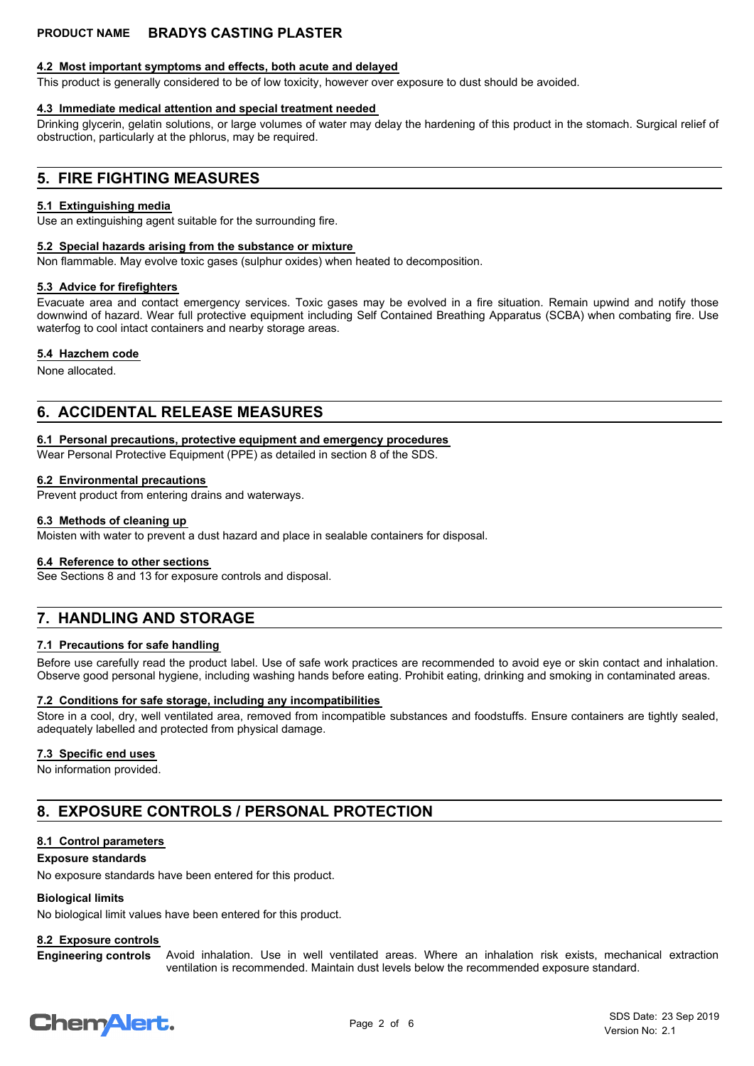# **4.2 Most important symptoms and effects, both acute and delayed**

This product is generally considered to be of low toxicity, however over exposure to dust should be avoided.

# **4.3 Immediate medical attention and special treatment needed**

Drinking glycerin, gelatin solutions, or large volumes of water may delay the hardening of this product in the stomach. Surgical relief of obstruction, particularly at the phlorus, may be required.

# **5. FIRE FIGHTING MEASURES**

### **5.1 Extinguishing media**

Use an extinguishing agent suitable for the surrounding fire.

### **5.2 Special hazards arising from the substance or mixture**

Non flammable. May evolve toxic gases (sulphur oxides) when heated to decomposition.

### **5.3 Advice for firefighters**

Evacuate area and contact emergency services. Toxic gases may be evolved in a fire situation. Remain upwind and notify those downwind of hazard. Wear full protective equipment including Self Contained Breathing Apparatus (SCBA) when combating fire. Use waterfog to cool intact containers and nearby storage areas.

### **5.4 Hazchem code**

None allocated.

# **6. ACCIDENTAL RELEASE MEASURES**

### **6.1 Personal precautions, protective equipment and emergency procedures**

Wear Personal Protective Equipment (PPE) as detailed in section 8 of the SDS.

### **6.2 Environmental precautions**

Prevent product from entering drains and waterways.

### **6.3 Methods of cleaning up**

Moisten with water to prevent a dust hazard and place in sealable containers for disposal.

### **6.4 Reference to other sections**

See Sections 8 and 13 for exposure controls and disposal.

# **7. HANDLING AND STORAGE**

## **7.1 Precautions for safe handling**

Before use carefully read the product label. Use of safe work practices are recommended to avoid eye or skin contact and inhalation. Observe good personal hygiene, including washing hands before eating. Prohibit eating, drinking and smoking in contaminated areas.

### **7.2 Conditions for safe storage, including any incompatibilities**

Store in a cool, dry, well ventilated area, removed from incompatible substances and foodstuffs. Ensure containers are tightly sealed, adequately labelled and protected from physical damage.

## **7.3 Specific end uses**

No information provided.

# **8. EXPOSURE CONTROLS / PERSONAL PROTECTION**

## **8.1 Control parameters**

### **Exposure standards**

No exposure standards have been entered for this product.

## **Biological limits**

No biological limit values have been entered for this product.

### **8.2 Exposure controls**

Avoid inhalation. Use in well ventilated areas. Where an inhalation risk exists, mechanical extraction ventilation is recommended. Maintain dust levels below the recommended exposure standard. **Engineering controls**

# **ChemAlert.**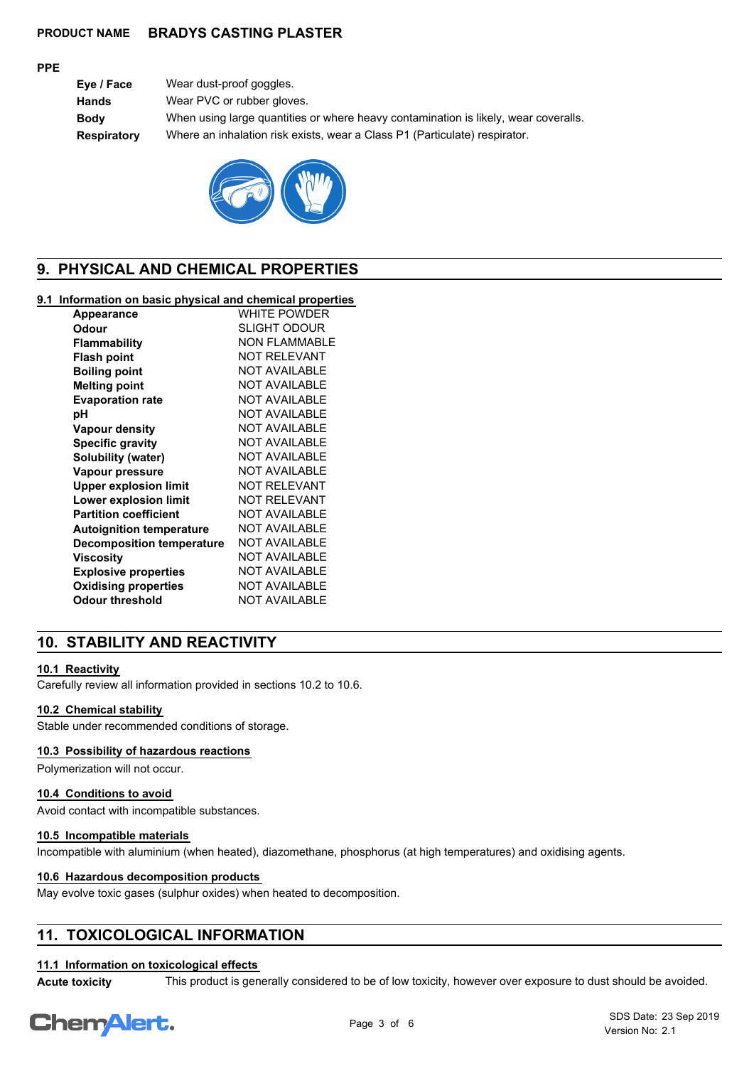### **PPE**

**Eye / Face** Wear dust-proof goggles. **Hands** Wear PVC or rubber gloves. **Body** When using large quantities or where heavy contamination is likely, wear coveralls. **Respiratory** Where an inhalation risk exists, wear a Class P1 (Particulate) respirator.



# **9. PHYSICAL AND CHEMICAL PROPERTIES**

## **9.1 Information on basic physical and chemical properties**

| <b>Appearance</b>                | <b>WHITE POWDER</b>  |
|----------------------------------|----------------------|
| Odour                            | SLIGHT ODOUR         |
| <b>Flammability</b>              | <b>NON FLAMMABLE</b> |
| <b>Flash point</b>               | NOT RFI FVANT        |
| <b>Boiling point</b>             | <b>NOT AVAILABLE</b> |
| <b>Melting point</b>             | <b>NOT AVAILABLE</b> |
| <b>Evaporation rate</b>          | <b>NOT AVAILABLE</b> |
| рH                               | <b>NOT AVAILABLE</b> |
| <b>Vapour density</b>            | <b>NOT AVAILABLE</b> |
| <b>Specific gravity</b>          | <b>NOT AVAILABLE</b> |
| Solubility (water)               | <b>NOT AVAILABLE</b> |
| Vapour pressure                  | NOT AVAII ABI F      |
| <b>Upper explosion limit</b>     | NOT RFI FVANT        |
| Lower explosion limit            | <b>NOT RELEVANT</b>  |
| <b>Partition coefficient</b>     | <b>NOT AVAILABLE</b> |
| <b>Autoignition temperature</b>  | NOT AVAII ABI F      |
| <b>Decomposition temperature</b> | <b>NOT AVAILABLE</b> |
| Viscosity                        | <b>NOT AVAILABLE</b> |
| <b>Explosive properties</b>      | <b>NOT AVAILABLE</b> |
| <b>Oxidising properties</b>      | <b>NOT AVAILABLE</b> |
| <b>Odour threshold</b>           | <b>NOT AVAILABLE</b> |
|                                  |                      |

# **10. STABILITY AND REACTIVITY**

### **10.1 Reactivity**

Carefully review all information provided in sections 10.2 to 10.6.

### **10.2 Chemical stability**

Stable under recommended conditions of storage.

## **10.3 Possibility of hazardous reactions**

Polymerization will not occur.

### **10.4 Conditions to avoid**

Avoid contact with incompatible substances.

### **10.5 Incompatible materials**

Incompatible with aluminium (when heated), diazomethane, phosphorus (at high temperatures) and oxidising agents.

### **10.6 Hazardous decomposition products**

May evolve toxic gases (sulphur oxides) when heated to decomposition.

# **11. TOXICOLOGICAL INFORMATION**

# **11.1 Information on toxicological effects**

**Acute toxicity** This product is generally considered to be of low toxicity, however over exposure to dust should be avoided.

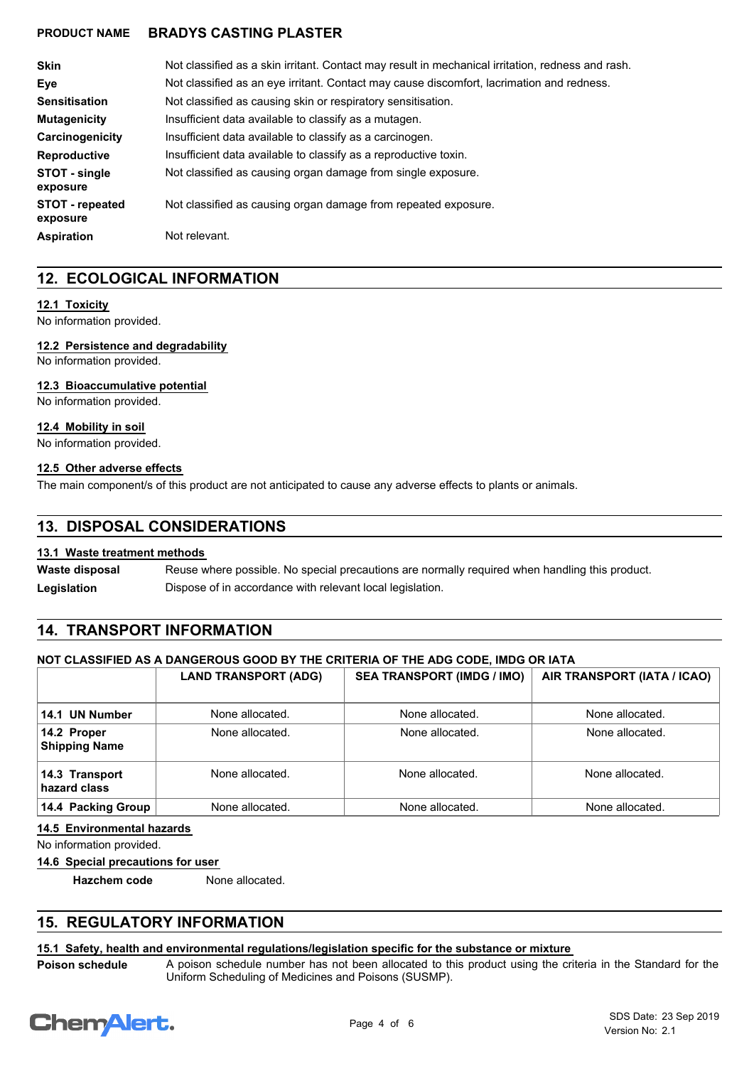| <b>Skin</b>                        | Not classified as a skin irritant. Contact may result in mechanical irritation, redness and rash. |
|------------------------------------|---------------------------------------------------------------------------------------------------|
| Eve                                | Not classified as an eye irritant. Contact may cause discomfort, lacrimation and redness.         |
| <b>Sensitisation</b>               | Not classified as causing skin or respiratory sensitisation.                                      |
| <b>Mutagenicity</b>                | Insufficient data available to classify as a mutagen.                                             |
| Carcinogenicity                    | Insufficient data available to classify as a carcinogen.                                          |
| <b>Reproductive</b>                | Insufficient data available to classify as a reproductive toxin.                                  |
| STOT - single<br>exposure          | Not classified as causing organ damage from single exposure.                                      |
| <b>STOT</b> - repeated<br>exposure | Not classified as causing organ damage from repeated exposure.                                    |
| <b>Aspiration</b>                  | Not relevant.                                                                                     |

# **12. ECOLOGICAL INFORMATION**

## **12.1 Toxicity**

No information provided.

### **12.2 Persistence and degradability**

No information provided.

### **12.3 Bioaccumulative potential**

No information provided.

### **12.4 Mobility in soil**

No information provided.

### **12.5 Other adverse effects**

The main component/s of this product are not anticipated to cause any adverse effects to plants or animals.

# **13. DISPOSAL CONSIDERATIONS**

## **13.1 Waste treatment methods**

Reuse where possible. No special precautions are normally required when handling this product. **Waste disposal** Legislation **Dispose of in accordance with relevant local legislation.** 

# **14. TRANSPORT INFORMATION**

## **NOT CLASSIFIED AS A DANGEROUS GOOD BY THE CRITERIA OF THE ADG CODE, IMDG OR IATA**

|                                     | <b>LAND TRANSPORT (ADG)</b> | <b>SEA TRANSPORT (IMDG / IMO)</b> | AIR TRANSPORT (IATA / ICAO) |
|-------------------------------------|-----------------------------|-----------------------------------|-----------------------------|
| 14.1 UN Number                      | None allocated.             | None allocated.                   | None allocated.             |
| 14.2 Proper<br><b>Shipping Name</b> | None allocated.             | None allocated.                   | None allocated.             |
| 14.3 Transport<br>hazard class      | None allocated.             | None allocated.                   | None allocated.             |
| 14.4 Packing Group                  | None allocated.             | None allocated.                   | None allocated.             |

# **14.5 Environmental hazards**

No information provided.

**14.6 Special precautions for user**

**Hazchem code** None allocated.

# **15. REGULATORY INFORMATION**

## **15.1 Safety, health and environmental regulations/legislation specific for the substance or mixture**

**Poison schedule**

A poison schedule number has not been allocated to this product using the criteria in the Standard for the Uniform Scheduling of Medicines and Poisons (SUSMP).

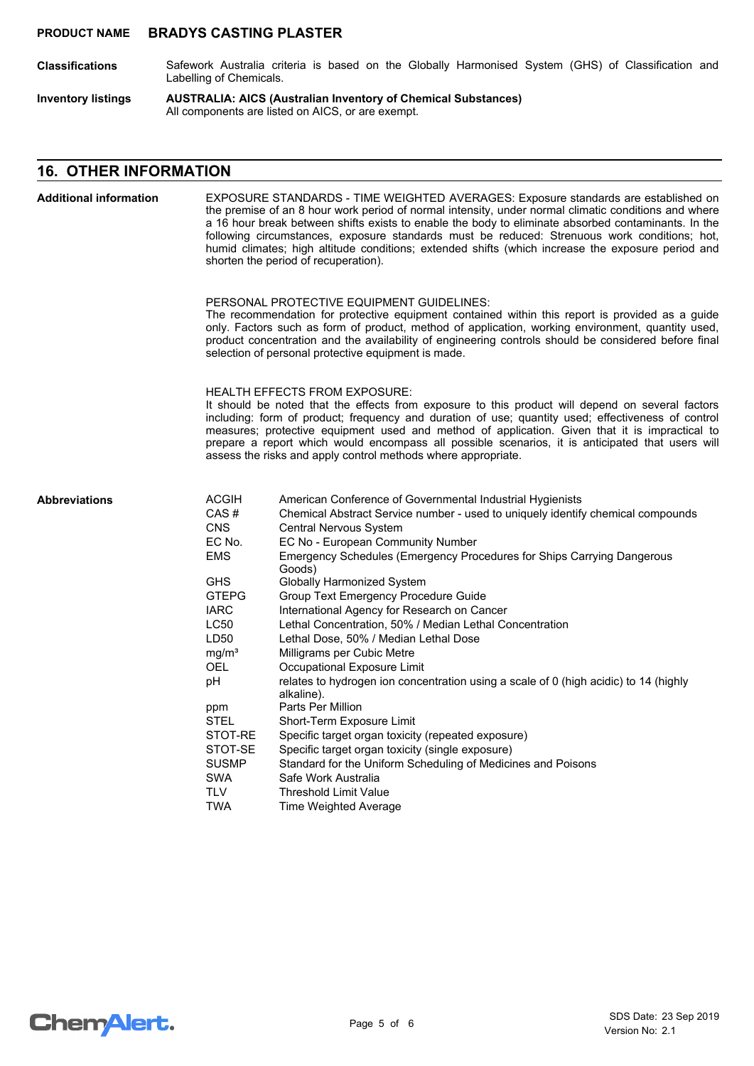- Safework Australia criteria is based on the Globally Harmonised System (GHS) of Classification and Labelling of Chemicals. **Classifications**
- **AUSTRALIA: AICS (Australian Inventory of Chemical Substances)** All components are listed on AICS, or are exempt. **Inventory listings**

# **16. OTHER INFORMATION**

| <b>Additional information</b> |                                                                                                                                                                                                                                                                                                                                                                                                                                                                                                                       | EXPOSURE STANDARDS - TIME WEIGHTED AVERAGES: Exposure standards are established on<br>the premise of an 8 hour work period of normal intensity, under normal climatic conditions and where<br>a 16 hour break between shifts exists to enable the body to eliminate absorbed contaminants. In the<br>following circumstances, exposure standards must be reduced: Strenuous work conditions; hot,<br>humid climates; high altitude conditions; extended shifts (which increase the exposure period and<br>shorten the period of recuperation).                                                                                                                                                                                                                                                                                                                                                                                                                                                                               |
|-------------------------------|-----------------------------------------------------------------------------------------------------------------------------------------------------------------------------------------------------------------------------------------------------------------------------------------------------------------------------------------------------------------------------------------------------------------------------------------------------------------------------------------------------------------------|------------------------------------------------------------------------------------------------------------------------------------------------------------------------------------------------------------------------------------------------------------------------------------------------------------------------------------------------------------------------------------------------------------------------------------------------------------------------------------------------------------------------------------------------------------------------------------------------------------------------------------------------------------------------------------------------------------------------------------------------------------------------------------------------------------------------------------------------------------------------------------------------------------------------------------------------------------------------------------------------------------------------------|
|                               |                                                                                                                                                                                                                                                                                                                                                                                                                                                                                                                       | PERSONAL PROTECTIVE EQUIPMENT GUIDELINES:<br>The recommendation for protective equipment contained within this report is provided as a guide<br>only. Factors such as form of product, method of application, working environment, quantity used,<br>product concentration and the availability of engineering controls should be considered before final<br>selection of personal protective equipment is made.                                                                                                                                                                                                                                                                                                                                                                                                                                                                                                                                                                                                             |
|                               | <b>HEALTH EFFECTS FROM EXPOSURE:</b><br>It should be noted that the effects from exposure to this product will depend on several factors<br>including: form of product; frequency and duration of use; quantity used; effectiveness of control<br>measures; protective equipment used and method of application. Given that it is impractical to<br>prepare a report which would encompass all possible scenarios, it is anticipated that users will<br>assess the risks and apply control methods where appropriate. |                                                                                                                                                                                                                                                                                                                                                                                                                                                                                                                                                                                                                                                                                                                                                                                                                                                                                                                                                                                                                              |
| <b>Abbreviations</b>          | <b>ACGIH</b><br>CAS#<br><b>CNS</b><br>EC No.<br><b>EMS</b><br><b>GHS</b><br><b>GTEPG</b><br><b>IARC</b><br><b>LC50</b><br>LD50<br>mg/m <sup>3</sup><br>OEL<br>pH<br>ppm<br><b>STEL</b><br>STOT-RE<br>STOT-SE<br><b>SUSMP</b><br><b>SWA</b><br><b>TLV</b><br><b>TWA</b>                                                                                                                                                                                                                                                | American Conference of Governmental Industrial Hygienists<br>Chemical Abstract Service number - used to uniquely identify chemical compounds<br><b>Central Nervous System</b><br>EC No - European Community Number<br>Emergency Schedules (Emergency Procedures for Ships Carrying Dangerous<br>Goods)<br><b>Globally Harmonized System</b><br><b>Group Text Emergency Procedure Guide</b><br>International Agency for Research on Cancer<br>Lethal Concentration, 50% / Median Lethal Concentration<br>Lethal Dose, 50% / Median Lethal Dose<br>Milligrams per Cubic Metre<br>Occupational Exposure Limit<br>relates to hydrogen ion concentration using a scale of 0 (high acidic) to 14 (highly<br>alkaline).<br>Parts Per Million<br>Short-Term Exposure Limit<br>Specific target organ toxicity (repeated exposure)<br>Specific target organ toxicity (single exposure)<br>Standard for the Uniform Scheduling of Medicines and Poisons<br>Safe Work Australia<br><b>Threshold Limit Value</b><br>Time Weighted Average |